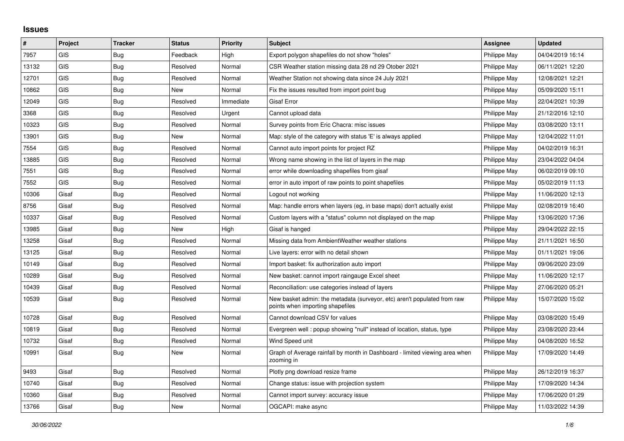## **Issues**

| #     | Project    | <b>Tracker</b> | <b>Status</b> | <b>Priority</b> | <b>Subject</b>                                                                                               | Assignee     | <b>Updated</b>   |
|-------|------------|----------------|---------------|-----------------|--------------------------------------------------------------------------------------------------------------|--------------|------------------|
| 7957  | GIS        | Bug            | Feedback      | High            | Export polygon shapefiles do not show "holes"                                                                | Philippe May | 04/04/2019 16:14 |
| 13132 | <b>GIS</b> | Bug            | Resolved      | Normal          | CSR Weather station missing data 28 nd 29 Otober 2021                                                        | Philippe May | 06/11/2021 12:20 |
| 12701 | <b>GIS</b> | Bug            | Resolved      | Normal          | Weather Station not showing data since 24 July 2021                                                          | Philippe May | 12/08/2021 12:21 |
| 10862 | <b>GIS</b> | Bug            | <b>New</b>    | Normal          | Fix the issues resulted from import point bug                                                                | Philippe May | 05/09/2020 15:11 |
| 12049 | <b>GIS</b> | Bug            | Resolved      | Immediate       | <b>Gisaf Error</b>                                                                                           | Philippe May | 22/04/2021 10:39 |
| 3368  | <b>GIS</b> | Bug            | Resolved      | Urgent          | Cannot upload data                                                                                           | Philippe May | 21/12/2016 12:10 |
| 10323 | <b>GIS</b> | <b>Bug</b>     | Resolved      | Normal          | Survey points from Eric Chacra: misc issues                                                                  | Philippe May | 03/08/2020 13:11 |
| 13901 | <b>GIS</b> | <b>Bug</b>     | <b>New</b>    | Normal          | Map: style of the category with status 'E' is always applied                                                 | Philippe May | 12/04/2022 11:01 |
| 7554  | <b>GIS</b> | Bug            | Resolved      | Normal          | Cannot auto import points for project RZ                                                                     | Philippe May | 04/02/2019 16:31 |
| 13885 | <b>GIS</b> | Bug            | Resolved      | Normal          | Wrong name showing in the list of layers in the map                                                          | Philippe May | 23/04/2022 04:04 |
| 7551  | GIS        | Bug            | Resolved      | Normal          | error while downloading shapefiles from gisaf                                                                | Philippe May | 06/02/2019 09:10 |
| 7552  | GIS        | Bug            | Resolved      | Normal          | error in auto import of raw points to point shapefiles                                                       | Philippe May | 05/02/2019 11:13 |
| 10306 | Gisaf      | Bug            | Resolved      | Normal          | Logout not working                                                                                           | Philippe May | 11/06/2020 12:13 |
| 8756  | Gisaf      | Bug            | Resolved      | Normal          | Map: handle errors when layers (eg, in base maps) don't actually exist                                       | Philippe May | 02/08/2019 16:40 |
| 10337 | Gisaf      | Bug            | Resolved      | Normal          | Custom layers with a "status" column not displayed on the map                                                | Philippe May | 13/06/2020 17:36 |
| 13985 | Gisaf      | Bug            | New           | High            | Gisaf is hanged                                                                                              | Philippe May | 29/04/2022 22:15 |
| 13258 | Gisaf      | Bug            | Resolved      | Normal          | Missing data from Ambient Weather weather stations                                                           | Philippe May | 21/11/2021 16:50 |
| 13125 | Gisaf      | Bug            | Resolved      | Normal          | Live layers: error with no detail shown                                                                      | Philippe May | 01/11/2021 19:06 |
| 10149 | Gisaf      | Bug            | Resolved      | Normal          | Import basket: fix authorization auto import                                                                 | Philippe May | 09/06/2020 23:09 |
| 10289 | Gisaf      | Bug            | Resolved      | Normal          | New basket: cannot import raingauge Excel sheet                                                              | Philippe May | 11/06/2020 12:17 |
| 10439 | Gisaf      | Bug            | Resolved      | Normal          | Reconciliation: use categories instead of layers                                                             | Philippe May | 27/06/2020 05:21 |
| 10539 | Gisaf      | Bug            | Resolved      | Normal          | New basket admin: the metadata (surveyor, etc) aren't populated from raw<br>points when importing shapefiles | Philippe May | 15/07/2020 15:02 |
| 10728 | Gisaf      | Bug            | Resolved      | Normal          | Cannot download CSV for values                                                                               | Philippe May | 03/08/2020 15:49 |
| 10819 | Gisaf      | Bug            | Resolved      | Normal          | Evergreen well: popup showing "null" instead of location, status, type                                       | Philippe May | 23/08/2020 23:44 |
| 10732 | Gisaf      | Bug            | Resolved      | Normal          | Wind Speed unit                                                                                              | Philippe May | 04/08/2020 16:52 |
| 10991 | Gisaf      | Bug            | New           | Normal          | Graph of Average rainfall by month in Dashboard - limited viewing area when<br>zooming in                    | Philippe May | 17/09/2020 14:49 |
| 9493  | Gisaf      | Bug            | Resolved      | Normal          | Plotly png download resize frame                                                                             | Philippe May | 26/12/2019 16:37 |
| 10740 | Gisaf      | Bug            | Resolved      | Normal          | Change status: issue with projection system                                                                  | Philippe May | 17/09/2020 14:34 |
| 10360 | Gisaf      | <b>Bug</b>     | Resolved      | Normal          | Cannot import survey: accuracy issue                                                                         | Philippe May | 17/06/2020 01:29 |
| 13766 | Gisaf      | Bug            | <b>New</b>    | Normal          | OGCAPI: make async                                                                                           | Philippe May | 11/03/2022 14:39 |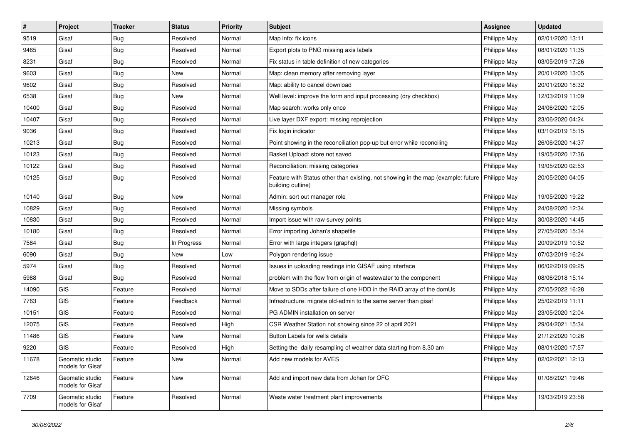| #     | Project                             | <b>Tracker</b> | <b>Status</b> | <b>Priority</b> | <b>Subject</b>                                                                                                       | Assignee     | <b>Updated</b>   |
|-------|-------------------------------------|----------------|---------------|-----------------|----------------------------------------------------------------------------------------------------------------------|--------------|------------------|
| 9519  | Gisaf                               | <b>Bug</b>     | Resolved      | Normal          | Map info: fix icons                                                                                                  | Philippe May | 02/01/2020 13:11 |
| 9465  | Gisaf                               | <b>Bug</b>     | Resolved      | Normal          | Export plots to PNG missing axis labels                                                                              | Philippe May | 08/01/2020 11:35 |
| 8231  | Gisaf                               | <b>Bug</b>     | Resolved      | Normal          | Fix status in table definition of new categories                                                                     | Philippe May | 03/05/2019 17:26 |
| 9603  | Gisaf                               | <b>Bug</b>     | New           | Normal          | Map: clean memory after removing layer                                                                               | Philippe May | 20/01/2020 13:05 |
| 9602  | Gisaf                               | Bug            | Resolved      | Normal          | Map: ability to cancel download                                                                                      | Philippe May | 20/01/2020 18:32 |
| 6538  | Gisaf                               | <b>Bug</b>     | New           | Normal          | Well level: improve the form and input processing (dry checkbox)                                                     | Philippe May | 12/03/2019 11:09 |
| 10400 | Gisaf                               | <b>Bug</b>     | Resolved      | Normal          | Map search: works only once                                                                                          | Philippe May | 24/06/2020 12:05 |
| 10407 | Gisaf                               | <b>Bug</b>     | Resolved      | Normal          | Live layer DXF export: missing reprojection                                                                          | Philippe May | 23/06/2020 04:24 |
| 9036  | Gisaf                               | <b>Bug</b>     | Resolved      | Normal          | Fix login indicator                                                                                                  | Philippe May | 03/10/2019 15:15 |
| 10213 | Gisaf                               | Bug            | Resolved      | Normal          | Point showing in the reconciliation pop-up but error while reconciling                                               | Philippe May | 26/06/2020 14:37 |
| 10123 | Gisaf                               | <b>Bug</b>     | Resolved      | Normal          | Basket Upload: store not saved                                                                                       | Philippe May | 19/05/2020 17:36 |
| 10122 | Gisaf                               | <b>Bug</b>     | Resolved      | Normal          | Reconciliation: missing categories                                                                                   | Philippe May | 19/05/2020 02:53 |
| 10125 | Gisaf                               | Bug            | Resolved      | Normal          | Feature with Status other than existing, not showing in the map (example: future   Philippe May<br>building outline) |              | 20/05/2020 04:05 |
| 10140 | Gisaf                               | <b>Bug</b>     | <b>New</b>    | Normal          | Admin: sort out manager role                                                                                         | Philippe May | 19/05/2020 19:22 |
| 10829 | Gisaf                               | <b>Bug</b>     | Resolved      | Normal          | Missing symbols                                                                                                      | Philippe May | 24/08/2020 12:34 |
| 10830 | Gisaf                               | <b>Bug</b>     | Resolved      | Normal          | Import issue with raw survey points                                                                                  | Philippe May | 30/08/2020 14:45 |
| 10180 | Gisaf                               | Bug            | Resolved      | Normal          | Error importing Johan's shapefile                                                                                    | Philippe May | 27/05/2020 15:34 |
| 7584  | Gisaf                               | <b>Bug</b>     | In Progress   | Normal          | Error with large integers (graphql)                                                                                  | Philippe May | 20/09/2019 10:52 |
| 6090  | Gisaf                               | <b>Bug</b>     | New           | Low             | Polygon rendering issue                                                                                              | Philippe May | 07/03/2019 16:24 |
| 5974  | Gisaf                               | Bug            | Resolved      | Normal          | Issues in uploading readings into GISAF using interface                                                              | Philippe May | 06/02/2019 09:25 |
| 5988  | Gisaf                               | <b>Bug</b>     | Resolved      | Normal          | problem with the flow from origin of wastewater to the component                                                     | Philippe May | 08/06/2018 15:14 |
| 14090 | GIS                                 | Feature        | Resolved      | Normal          | Move to SDDs after failure of one HDD in the RAID array of the domUs                                                 | Philippe May | 27/05/2022 16:28 |
| 7763  | <b>GIS</b>                          | Feature        | Feedback      | Normal          | Infrastructure: migrate old-admin to the same server than gisaf                                                      | Philippe May | 25/02/2019 11:11 |
| 10151 | GIS                                 | Feature        | Resolved      | Normal          | PG ADMIN installation on server                                                                                      | Philippe May | 23/05/2020 12:04 |
| 12075 | <b>GIS</b>                          | Feature        | Resolved      | High            | CSR Weather Station not showing since 22 of april 2021                                                               | Philippe May | 29/04/2021 15:34 |
| 11486 | GIS                                 | Feature        | New           | Normal          | Button Labels for wells details                                                                                      | Philippe May | 21/12/2020 10:26 |
| 9220  | GIS                                 | Feature        | Resolved      | High            | Setting the daily resampling of weather data starting from 8.30 am                                                   | Philippe May | 08/01/2020 17:57 |
| 11678 | Geomatic studio<br>models for Gisaf | Feature        | New           | Normal          | Add new models for AVES                                                                                              | Philippe May | 02/02/2021 12:13 |
| 12646 | Geomatic studio<br>models for Gisaf | Feature        | New           | Normal          | Add and import new data from Johan for OFC                                                                           | Philippe May | 01/08/2021 19:46 |
| 7709  | Geomatic studio<br>models for Gisaf | Feature        | Resolved      | Normal          | Waste water treatment plant improvements                                                                             | Philippe May | 19/03/2019 23:58 |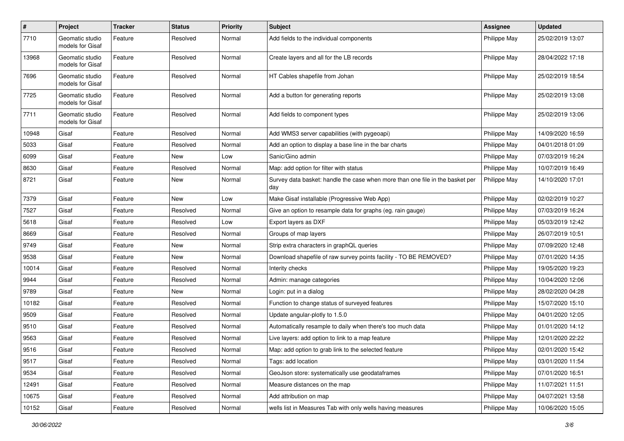| $\pmb{\#}$ | Project                             | <b>Tracker</b> | <b>Status</b> | <b>Priority</b> | <b>Subject</b>                                                                       | <b>Assignee</b> | <b>Updated</b>   |
|------------|-------------------------------------|----------------|---------------|-----------------|--------------------------------------------------------------------------------------|-----------------|------------------|
| 7710       | Geomatic studio<br>models for Gisaf | Feature        | Resolved      | Normal          | Add fields to the individual components                                              | Philippe May    | 25/02/2019 13:07 |
| 13968      | Geomatic studio<br>models for Gisaf | Feature        | Resolved      | Normal          | Create layers and all for the LB records                                             | Philippe May    | 28/04/2022 17:18 |
| 7696       | Geomatic studio<br>models for Gisaf | Feature        | Resolved      | Normal          | HT Cables shapefile from Johan                                                       | Philippe May    | 25/02/2019 18:54 |
| 7725       | Geomatic studio<br>models for Gisaf | Feature        | Resolved      | Normal          | Add a button for generating reports                                                  | Philippe May    | 25/02/2019 13:08 |
| 7711       | Geomatic studio<br>models for Gisaf | Feature        | Resolved      | Normal          | Add fields to component types                                                        | Philippe May    | 25/02/2019 13:06 |
| 10948      | Gisaf                               | Feature        | Resolved      | Normal          | Add WMS3 server capabilities (with pygeoapi)                                         | Philippe May    | 14/09/2020 16:59 |
| 5033       | Gisaf                               | Feature        | Resolved      | Normal          | Add an option to display a base line in the bar charts                               | Philippe May    | 04/01/2018 01:09 |
| 6099       | Gisaf                               | Feature        | New           | Low             | Sanic/Gino admin                                                                     | Philippe May    | 07/03/2019 16:24 |
| 8630       | Gisaf                               | Feature        | Resolved      | Normal          | Map: add option for filter with status                                               | Philippe May    | 10/07/2019 16:49 |
| 8721       | Gisaf                               | Feature        | New           | Normal          | Survey data basket: handle the case when more than one file in the basket per<br>day | Philippe May    | 14/10/2020 17:01 |
| 7379       | Gisaf                               | Feature        | New           | Low             | Make Gisaf installable (Progressive Web App)                                         | Philippe May    | 02/02/2019 10:27 |
| 7527       | Gisaf                               | Feature        | Resolved      | Normal          | Give an option to resample data for graphs (eg. rain gauge)                          | Philippe May    | 07/03/2019 16:24 |
| 5618       | Gisaf                               | Feature        | Resolved      | Low             | Export layers as DXF                                                                 | Philippe May    | 05/03/2019 12:42 |
| 8669       | Gisaf                               | Feature        | Resolved      | Normal          | Groups of map layers                                                                 | Philippe May    | 26/07/2019 10:51 |
| 9749       | Gisaf                               | Feature        | New           | Normal          | Strip extra characters in graphQL queries                                            | Philippe May    | 07/09/2020 12:48 |
| 9538       | Gisaf                               | Feature        | New           | Normal          | Download shapefile of raw survey points facility - TO BE REMOVED?                    | Philippe May    | 07/01/2020 14:35 |
| 10014      | Gisaf                               | Feature        | Resolved      | Normal          | Interity checks                                                                      | Philippe May    | 19/05/2020 19:23 |
| 9944       | Gisaf                               | Feature        | Resolved      | Normal          | Admin: manage categories                                                             | Philippe May    | 10/04/2020 12:06 |
| 9789       | Gisaf                               | Feature        | New           | Normal          | Login: put in a dialog                                                               | Philippe May    | 28/02/2020 04:28 |
| 10182      | Gisaf                               | Feature        | Resolved      | Normal          | Function to change status of surveyed features                                       | Philippe May    | 15/07/2020 15:10 |
| 9509       | Gisaf                               | Feature        | Resolved      | Normal          | Update angular-plotly to 1.5.0                                                       | Philippe May    | 04/01/2020 12:05 |
| 9510       | Gisaf                               | Feature        | Resolved      | Normal          | Automatically resample to daily when there's too much data                           | Philippe May    | 01/01/2020 14:12 |
| 9563       | Gisaf                               | Feature        | Resolved      | Normal          | Live layers: add option to link to a map feature                                     | Philippe May    | 12/01/2020 22:22 |
| 9516       | Gisaf                               | Feature        | Resolved      | Normal          | Map: add option to grab link to the selected feature                                 | Philippe May    | 02/01/2020 15:42 |
| 9517       | Gisaf                               | Feature        | Resolved      | Normal          | Tags: add location                                                                   | Philippe May    | 03/01/2020 11:54 |
| 9534       | Gisaf                               | Feature        | Resolved      | Normal          | GeoJson store: systematically use geodataframes                                      | Philippe May    | 07/01/2020 16:51 |
| 12491      | Gisaf                               | Feature        | Resolved      | Normal          | Measure distances on the map                                                         | Philippe May    | 11/07/2021 11:51 |
| 10675      | Gisaf                               | Feature        | Resolved      | Normal          | Add attribution on map                                                               | Philippe May    | 04/07/2021 13:58 |
| 10152      | Gisaf                               | Feature        | Resolved      | Normal          | wells list in Measures Tab with only wells having measures                           | Philippe May    | 10/06/2020 15:05 |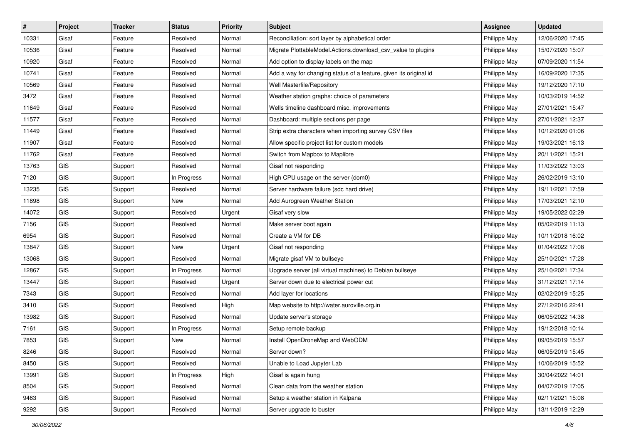| #     | Project    | <b>Tracker</b> | <b>Status</b> | <b>Priority</b> | <b>Subject</b>                                                    | <b>Assignee</b> | <b>Updated</b>   |
|-------|------------|----------------|---------------|-----------------|-------------------------------------------------------------------|-----------------|------------------|
| 10331 | Gisaf      | Feature        | Resolved      | Normal          | Reconciliation: sort layer by alphabetical order                  | Philippe May    | 12/06/2020 17:45 |
| 10536 | Gisaf      | Feature        | Resolved      | Normal          | Migrate PlottableModel.Actions.download_csv_value to plugins      | Philippe May    | 15/07/2020 15:07 |
| 10920 | Gisaf      | Feature        | Resolved      | Normal          | Add option to display labels on the map                           | Philippe May    | 07/09/2020 11:54 |
| 10741 | Gisaf      | Feature        | Resolved      | Normal          | Add a way for changing status of a feature, given its original id | Philippe May    | 16/09/2020 17:35 |
| 10569 | Gisaf      | Feature        | Resolved      | Normal          | Well Masterfile/Repository                                        | Philippe May    | 19/12/2020 17:10 |
| 3472  | Gisaf      | Feature        | Resolved      | Normal          | Weather station graphs: choice of parameters                      | Philippe May    | 10/03/2019 14:52 |
| 11649 | Gisaf      | Feature        | Resolved      | Normal          | Wells timeline dashboard misc. improvements                       | Philippe May    | 27/01/2021 15:47 |
| 11577 | Gisaf      | Feature        | Resolved      | Normal          | Dashboard: multiple sections per page                             | Philippe May    | 27/01/2021 12:37 |
| 11449 | Gisaf      | Feature        | Resolved      | Normal          | Strip extra characters when importing survey CSV files            | Philippe May    | 10/12/2020 01:06 |
| 11907 | Gisaf      | Feature        | Resolved      | Normal          | Allow specific project list for custom models                     | Philippe May    | 19/03/2021 16:13 |
| 11762 | Gisaf      | Feature        | Resolved      | Normal          | Switch from Mapbox to Maplibre                                    | Philippe May    | 20/11/2021 15:21 |
| 13763 | GIS        | Support        | Resolved      | Normal          | Gisaf not responding                                              | Philippe May    | 11/03/2022 13:03 |
| 7120  | GIS        | Support        | In Progress   | Normal          | High CPU usage on the server (dom0)                               | Philippe May    | 26/02/2019 13:10 |
| 13235 | GIS        | Support        | Resolved      | Normal          | Server hardware failure (sdc hard drive)                          | Philippe May    | 19/11/2021 17:59 |
| 11898 | GIS        | Support        | <b>New</b>    | Normal          | Add Aurogreen Weather Station                                     | Philippe May    | 17/03/2021 12:10 |
| 14072 | GIS        | Support        | Resolved      | Urgent          | Gisaf very slow                                                   | Philippe May    | 19/05/2022 02:29 |
| 7156  | GIS        | Support        | Resolved      | Normal          | Make server boot again                                            | Philippe May    | 05/02/2019 11:13 |
| 6954  | GIS        | Support        | Resolved      | Normal          | Create a VM for DB                                                | Philippe May    | 10/11/2018 16:02 |
| 13847 | GIS        | Support        | New           | Urgent          | Gisaf not responding                                              | Philippe May    | 01/04/2022 17:08 |
| 13068 | GIS        | Support        | Resolved      | Normal          | Migrate gisaf VM to bullseye                                      | Philippe May    | 25/10/2021 17:28 |
| 12867 | GIS        | Support        | In Progress   | Normal          | Upgrade server (all virtual machines) to Debian bullseye          | Philippe May    | 25/10/2021 17:34 |
| 13447 | <b>GIS</b> | Support        | Resolved      | Urgent          | Server down due to electrical power cut                           | Philippe May    | 31/12/2021 17:14 |
| 7343  | GIS        | Support        | Resolved      | Normal          | Add layer for locations                                           | Philippe May    | 02/02/2019 15:25 |
| 3410  | GIS        | Support        | Resolved      | High            | Map website to http://water.auroville.org.in                      | Philippe May    | 27/12/2016 22:41 |
| 13982 | GIS        | Support        | Resolved      | Normal          | Update server's storage                                           | Philippe May    | 06/05/2022 14:38 |
| 7161  | GIS        | Support        | In Progress   | Normal          | Setup remote backup                                               | Philippe May    | 19/12/2018 10:14 |
| 7853  | GIS        | Support        | New           | Normal          | Install OpenDroneMap and WebODM                                   | Philippe May    | 09/05/2019 15:57 |
| 8246  | GIS        | Support        | Resolved      | Normal          | Server down?                                                      | Philippe May    | 06/05/2019 15:45 |
| 8450  | <b>GIS</b> | Support        | Resolved      | Normal          | Unable to Load Jupyter Lab                                        | Philippe May    | 10/06/2019 15:52 |
| 13991 | GIS        | Support        | In Progress   | High            | Gisaf is again hung                                               | Philippe May    | 30/04/2022 14:01 |
| 8504  | GIS        | Support        | Resolved      | Normal          | Clean data from the weather station                               | Philippe May    | 04/07/2019 17:05 |
| 9463  | GIS        | Support        | Resolved      | Normal          | Setup a weather station in Kalpana                                | Philippe May    | 02/11/2021 15:08 |
| 9292  | GIS        | Support        | Resolved      | Normal          | Server upgrade to buster                                          | Philippe May    | 13/11/2019 12:29 |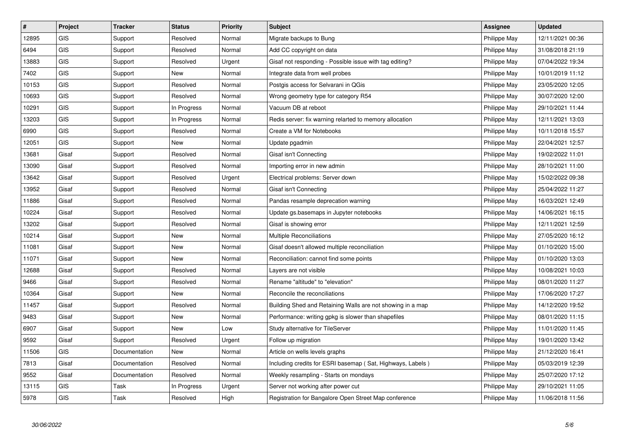| $\vert$ # | Project    | <b>Tracker</b> | <b>Status</b> | <b>Priority</b> | <b>Subject</b>                                             | <b>Assignee</b> | <b>Updated</b>   |
|-----------|------------|----------------|---------------|-----------------|------------------------------------------------------------|-----------------|------------------|
| 12895     | <b>GIS</b> | Support        | Resolved      | Normal          | Migrate backups to Bung                                    | Philippe May    | 12/11/2021 00:36 |
| 6494      | <b>GIS</b> | Support        | Resolved      | Normal          | Add CC copyright on data                                   | Philippe May    | 31/08/2018 21:19 |
| 13883     | <b>GIS</b> | Support        | Resolved      | Urgent          | Gisaf not responding - Possible issue with tag editing?    | Philippe May    | 07/04/2022 19:34 |
| 7402      | <b>GIS</b> | Support        | <b>New</b>    | Normal          | Integrate data from well probes                            | Philippe May    | 10/01/2019 11:12 |
| 10153     | <b>GIS</b> | Support        | Resolved      | Normal          | Postgis access for Selvarani in QGis                       | Philippe May    | 23/05/2020 12:05 |
| 10693     | <b>GIS</b> | Support        | Resolved      | Normal          | Wrong geometry type for category R54                       | Philippe May    | 30/07/2020 12:00 |
| 10291     | <b>GIS</b> | Support        | In Progress   | Normal          | Vacuum DB at reboot                                        | Philippe May    | 29/10/2021 11:44 |
| 13203     | <b>GIS</b> | Support        | In Progress   | Normal          | Redis server: fix warning relarted to memory allocation    | Philippe May    | 12/11/2021 13:03 |
| 6990      | <b>GIS</b> | Support        | Resolved      | Normal          | Create a VM for Notebooks                                  | Philippe May    | 10/11/2018 15:57 |
| 12051     | <b>GIS</b> | Support        | New           | Normal          | Update pgadmin                                             | Philippe May    | 22/04/2021 12:57 |
| 13681     | Gisaf      | Support        | Resolved      | Normal          | Gisaf isn't Connecting                                     | Philippe May    | 19/02/2022 11:01 |
| 13090     | Gisaf      | Support        | Resolved      | Normal          | Importing error in new admin                               | Philippe May    | 28/10/2021 11:00 |
| 13642     | Gisaf      | Support        | Resolved      | Urgent          | Electrical problems: Server down                           | Philippe May    | 15/02/2022 09:38 |
| 13952     | Gisaf      | Support        | Resolved      | Normal          | Gisaf isn't Connecting                                     | Philippe May    | 25/04/2022 11:27 |
| 11886     | Gisaf      | Support        | Resolved      | Normal          | Pandas resample deprecation warning                        | Philippe May    | 16/03/2021 12:49 |
| 10224     | Gisaf      | Support        | Resolved      | Normal          | Update gs.basemaps in Jupyter notebooks                    | Philippe May    | 14/06/2021 16:15 |
| 13202     | Gisaf      | Support        | Resolved      | Normal          | Gisaf is showing error                                     | Philippe May    | 12/11/2021 12:59 |
| 10214     | Gisaf      | Support        | <b>New</b>    | Normal          | <b>Multiple Reconciliations</b>                            | Philippe May    | 27/05/2020 16:12 |
| 11081     | Gisaf      | Support        | New           | Normal          | Gisaf doesn't allowed multiple reconciliation              | Philippe May    | 01/10/2020 15:00 |
| 11071     | Gisaf      | Support        | <b>New</b>    | Normal          | Reconciliation: cannot find some points                    | Philippe May    | 01/10/2020 13:03 |
| 12688     | Gisaf      | Support        | Resolved      | Normal          | Layers are not visible                                     | Philippe May    | 10/08/2021 10:03 |
| 9466      | Gisaf      | Support        | Resolved      | Normal          | Rename "altitude" to "elevation"                           | Philippe May    | 08/01/2020 11:27 |
| 10364     | Gisaf      | Support        | New           | Normal          | Reconcile the reconciliations                              | Philippe May    | 17/06/2020 17:27 |
| 11457     | Gisaf      | Support        | Resolved      | Normal          | Building Shed and Retaining Walls are not showing in a map | Philippe May    | 14/12/2020 19:52 |
| 9483      | Gisaf      | Support        | <b>New</b>    | Normal          | Performance: writing gpkg is slower than shapefiles        | Philippe May    | 08/01/2020 11:15 |
| 6907      | Gisaf      | Support        | <b>New</b>    | Low             | Study alternative for TileServer                           | Philippe May    | 11/01/2020 11:45 |
| 9592      | Gisaf      | Support        | Resolved      | Urgent          | Follow up migration                                        | Philippe May    | 19/01/2020 13:42 |
| 11506     | <b>GIS</b> | Documentation  | <b>New</b>    | Normal          | Article on wells levels graphs                             | Philippe May    | 21/12/2020 16:41 |
| 7813      | Gisaf      | Documentation  | Resolved      | Normal          | Including credits for ESRI basemap (Sat, Highways, Labels) | Philippe May    | 05/03/2019 12:39 |
| 9552      | Gisaf      | Documentation  | Resolved      | Normal          | Weekly resampling - Starts on mondays                      | Philippe May    | 25/07/2020 17:12 |
| 13115     | <b>GIS</b> | Task           | In Progress   | Urgent          | Server not working after power cut                         | Philippe May    | 29/10/2021 11:05 |
| 5978      | <b>GIS</b> | Task           | Resolved      | High            | Registration for Bangalore Open Street Map conference      | Philippe May    | 11/06/2018 11:56 |